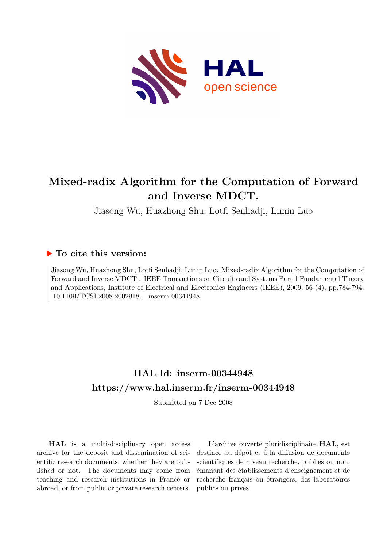

## **Mixed-radix Algorithm for the Computation of Forward and Inverse MDCT.**

Jiasong Wu, Huazhong Shu, Lotfi Senhadji, Limin Luo

### **To cite this version:**

Jiasong Wu, Huazhong Shu, Lotfi Senhadji, Limin Luo. Mixed-radix Algorithm for the Computation of Forward and Inverse MDCT.. IEEE Transactions on Circuits and Systems Part 1 Fundamental Theory and Applications, Institute of Electrical and Electronics Engineers (IEEE), 2009, 56 (4), pp.784-794. 10.1109/TCSI.2008.2002918. inserm-00344948

## **HAL Id: inserm-00344948 <https://www.hal.inserm.fr/inserm-00344948>**

Submitted on 7 Dec 2008

**HAL** is a multi-disciplinary open access archive for the deposit and dissemination of scientific research documents, whether they are published or not. The documents may come from teaching and research institutions in France or abroad, or from public or private research centers.

L'archive ouverte pluridisciplinaire **HAL**, est destinée au dépôt et à la diffusion de documents scientifiques de niveau recherche, publiés ou non, émanant des établissements d'enseignement et de recherche français ou étrangers, des laboratoires publics ou privés.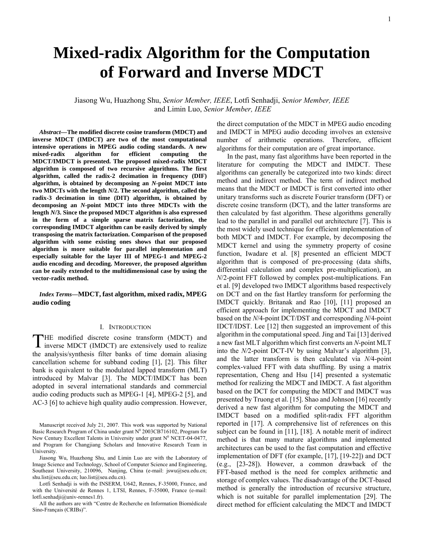# **Mixed-radix Algorithm for the Computation of Forward and Inverse MDCT**

Jiasong Wu, Huazhong Shu, *Senior Member, IEEE*, Lotfi Senhadji, *Senior Member, IEEE*  and Limin Luo, *Senior Member, IEEE*

*Abstract***—The modified discrete cosine transform (MDCT) and inverse MDCT (IMDCT) are two of the most computational intensive operations in MPEG audio coding standards. A new mixed-radix algorithm for efficient computing the MDCT/IMDCT is presented. The proposed mixed-radix MDCT algorithm is composed of two recursive algorithms. The first algorithm, called the radix-2 decimation in frequency (DIF) algorithm, is obtained by decomposing an** *N***-point MDCT into two MDCTs with the length** *N***/2. The second algorithm, called the radix-3 decimation in time (DIT) algorithm, is obtained by decomposing an** *N***-point MDCT into three MDCTs with the length** *N***/3. Since the proposed MDCT algorithm is also expressed in the form of a simple sparse matrix factorization, the corresponding IMDCT algorithm can be easily derived by simply transposing the matrix factorization. Comparison of the proposed algorithm with some existing ones shows that our proposed algorithm is more suitable for parallel implementation and especially suitable for the layer III of MPEG-1 and MPEG-2 audio encoding and decoding. Moreover, the proposed algorithm can be easily extended to the multidimensional case by using the vector-radix method.** 

*Index Terms***—MDCT, fast algorithm, mixed radix, MPEG audio coding**

#### I. INTRODUCTION

H E modified discrete cosine transform (MDCT) and THE modified discrete cosine transform (MDCT) and inverse MDCT (IMDCT) are extensively used to realize the analysis/synthesis filter banks of time domain aliasing cancellation scheme for subband coding [1], [2]. This filter bank is equivalent to the modulated lapped transform (MLT) introduced by Malvar [3]. The MDCT/IMDCT has been adopted in several international standards and commercial audio coding products such as MPEG-1 [4], MPEG-2 [5], and AC-3 [6] to achieve high quality audio compression. However,

Manuscript received July 21, 2007. This work was supported by National Basic Research Program of China under grant  $N^0$  2003CB716102, Program for New Century Excellent Talents in University under grant  $N^0$  NCET-04-0477, and Program for Changjiang Scholars and Innovative Research Team in University.

Jiasong Wu, Huazhong Shu, and Limin Luo are with the Laboratory of Image Science and Technology, School of Computer Science and Engineering, Southeast University, 210096, Nanjing, China (e-mail: jswu@seu.edu.cn; shu.list@seu.edu.cn; luo.list@seu.edu.cn).

Lotfi Senhadji is with the INSERM, U642, Rennes, F-35000, France, and with the Université de Rennes 1, LTSI, Rennes, F-35000, France (e-mail: lotfi.senhadji@univ-rennes1.fr).

All the authors are with "Centre de Recherche en Information Biomédicale Sino-Français (CRIBs)".

the direct computation of the MDCT in MPEG audio encoding and IMDCT in MPEG audio decoding involves an extensive number of arithmetic operations. Therefore, efficient algorithms for their computation are of great importance.

In the past, many fast algorithms have been reported in the literature for computing the MDCT and IMDCT. These algorithms can generally be categorized into two kinds: direct method and indirect method. The term of indirect method means that the MDCT or IMDCT is first converted into other unitary transforms such as discrete Fourier transform (DFT) or discrete cosine transform (DCT), and the latter transforms are then calculated by fast algorithm. These algorithms generally lead to the parallel in and parallel out architecture [7]. This is the most widely used technique for efficient implementation of both MDCT and IMDCT. For example, by decomposing the MDCT kernel and using the symmetry property of cosine function, Iwadare et al. [8] presented an efficient MDCT algorithm that is composed of pre-processing (data shifts, differential calculation and complex pre-multiplication), an *N*/2-point FFT followed by complex post-multiplications. Fan et al. [9] developed two IMDCT algorithms based respectively on DCT and on the fast Hartley transform for performing the IMDCT quickly. Britanak and Rao [10], [11] proposed an efficient approach for implementing the MDCT and IMDCT based on the *N*/4-point DCT/DST and corresponding *N*/4-point IDCT/IDST. Lee [12] then suggested an improvement of this algorithm in the computational speed. Jing and Tai [13] derived a new fast MLT algorithm which first converts an *N*-point MLT into the *N/*2-point DCT-IV by using Malvar's algorithm [3], and the latter transform is then calculated via *N/*4-point complex-valued FFT with data shuffling. By using a matrix representation, Cheng and Hsu [14] presented a systematic method for realizing the MDCT and IMDCT. A fast algorithm based on the DCT for computing the MDCT and IMDCT was presented by Truong et al. [15]. Shao and Johnson [16] recently derived a new fast algorithm for computing the MDCT and IMDCT based on a modified split-radix FFT algorithm reported in [17]. A comprehensive list of references on this subject can be found in [11], [18]. A notable merit of indirect method is that many mature algorithms and implemented architectures can be used to the fast computation and effective implementation of DFT (for example, [17], [19-22]) and DCT (e.g., [23-28]). However, a common drawback of the FFT-based method is the need for complex arithmetic and storage of complex values. The disadvantage of the DCT-based method is generally the introduction of recursive structure, which is not suitable for parallel implementation [29]. The direct method for efficient calculating the MDCT and IMDCT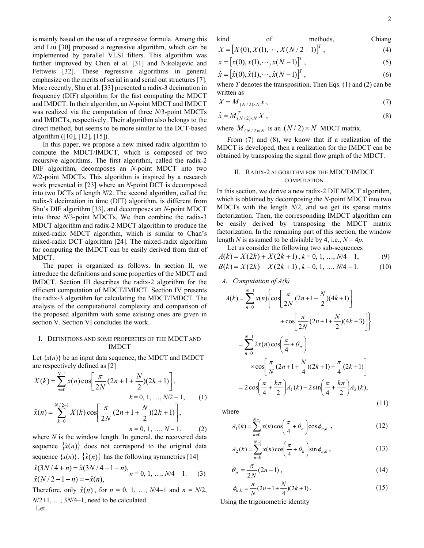and Liu [30] proposed a regressive algorithm, which can be implemented by parallel VLSI filters. This algorithm was further improved by Chen et al. [31] and Nikolajevic and Fettweis [32]. These regressive algorithms in general emphasize on the merits of serial in and serial out structures [7]. More recently, Shu et al. [33] presented a radix-3 decimation in frequency (DIF) algorithm for the fast computing the MDCT and IMDCT. In their algorithm, an *N*-point MDCT and IMDCT was realized via the computation of three *N*/3-point MDCTs and IMDCTs, respectively. Their algorithm also belongs to the direct method, but seems to be more similar to the DCT-based algorithm ([10], [12], [15]).

In this paper, we propose a new mixed-radix algorithm to compute the MDCT/IMDCT, which is composed of two recursive algorithms. The first algorithm, called the radix-2 DIF algorithm, decomposes an *N*-point MDCT into two *N*/2-point MDCTs. This algorithm is inspired by a research work presented in [23] where an *N*-point DCT is decomposed into two DCTs of length *N*/2. The second algorithm, called the radix-3 decimation in time (DIT) algorithm, is different from Shu's DIF algorithm [33], and decomposes an *N*-point MDCT into three *N*/3-point MDCTs. We then combine the radix-3 MDCT algorithm and radix-2 MDCT algorithm to produce the mixed-radix MDCT algorithm, which is similar to Chan's mixed-radix DCT algorithm [24]. The mixed-radix algorithm for computing the IMDCT can be easily derived from that of MDCT.

The paper is organized as follows. In section II, we introduce the definitions and some properties of the MDCT and IMDCT. Section III describes the radix-2 algorithm for the efficient computation of MDCT/IMDCT. Section IV presents the radix-3 algorithm for calculating the MDCT/IMDCT. The analysis of the computational complexity and comparison of the proposed algorithm with some existing ones are given in section V. Section VI concludes the work.

#### I. DEFINITIONS AND SOME PROPERTIES OF THE MDCT AND IMDCT

Let  $\{x(n)\}\$  be an input data sequence, the MDCT and IMDCT are respectively defined as [2]

$$
X(k) = \sum_{n=0}^{N-1} x(n) \cos \left[ \frac{\pi}{2N} (2n+1+\frac{N}{2}) (2k+1) \right],
$$
  
\n
$$
k = 0, 1, ..., N/2 - 1,
$$
  
\n
$$
\hat{x}(n) = \sum_{k=0}^{N/2-1} X(k) \cos \left[ \frac{\pi}{2N} (2n+1+\frac{N}{2}) (2k+1) \right],
$$
 (1)

 $n = 0, 1, ..., N - 1.$  (2)

where *N* is the window length. In general, the recovered data sequence  $\{\hat{x}(n)\}\)$  does not correspond to the original data sequence  $\{x(n)\}\$   $\{\hat{x}(n)\}\$  has the following symmetries [14]  $\hat{x}(3N/4+n) = \hat{x}(3N/4-1-n),$ 

$$
\hat{x}(N/2-1-n) = -\hat{x}(n), \qquad n = 0, 1, ..., N/4-1.
$$
 (3)

Therefore, only  $\hat{x}(n)$ , for  $n = 0, 1, ..., N/4-1$  and  $n = N/2$ , *N*/2+1, …, 3*N*/4–1, need to be calculated. Let

is mainly based on the use of a regressive formula. Among this 
$$
\frac{1}{2}
$$
 and  $\frac{1}{2}$  in [30] proposed a regressive algorithm, which can be  $\frac{1}{2}$  if  $\frac{1}{2}$  and  $\frac{1}{2}$  in [30] proposed a regressive algorithm, which can be  $\frac{1}{2}$  if  $\frac{1}{2}$  and  $\frac{1}{2}$  in [30].

$$
X = [X(0), X(1), \cdots, X(N/2-1)]^{T},
$$
\n(4)

$$
x = [x(0), x(1), \cdots, x(N-1)]^{T},
$$
\n(5)

$$
\hat{x} = [\hat{x}(0), \hat{x}(1), \cdots, \hat{x}(N-1)]^{T},
$$
\n(6)

where *T* denotes the transposition. Then Eqs. (1) and (2) can be written as

$$
X = M_{(N/2)\times N} x ,\tag{7}
$$

$$
\hat{x} = M_{(N/2)\times N}^T X , \qquad (8)
$$

where  $M_{(N/2)\times N}$  is an  $(N/2)\times N$  MDCT matrix.

From (7) and (8), we know that if a realization of the MDCT is developed, then a realization for the IMDCT can be obtained by transposing the signal flow graph of the MDCT.

#### II. RADIX-2 ALGORITHM FOR THE MDCT/IMDCT **COMPUTATION**

In this section, we derive a new radix-2 DIF MDCT algorithm, which is obtained by decomposing the *N*-point MDCT into two MDCTs with the length *N*/2, and we get its sparse matrix factorization. Then, the corresponding IMDCT algorithm can be easily derived by transposing the MDCT matrix factorization. In the remaining part of this section, the window length *N* is assumed to be divisible by 4, i.e.,  $N = 4p$ .

Let us consider the following two sub-sequences

$$
A(k) = X(2k) + X(2k+1), k = 0, 1, ..., N/4 - 1,
$$
  
\n
$$
B(k) = X(2k) - X(2k+1), k = 0, 1, ..., N/4 - 1.
$$
  
\n(10)

*A. Computation of A(k)* 

$$
A(k) = \sum_{n=0}^{N-1} x(n) \left\{ \cos \left[ \frac{\pi}{2N} (2n+1+\frac{N}{2}) (4k+1) \right] + \cos \left[ \frac{\pi}{2N} (2n+1+\frac{N}{2}) (4k+3) \right] \right\}
$$
  

$$
= \sum_{n=0}^{N-1} 2x(n) \cos \left( \frac{\pi}{4} + \theta_n \right)
$$
  

$$
\times \cos \left[ \frac{\pi}{N} (2n+1+\frac{N}{4}) (2k+1) + \frac{\pi}{4} (2k+1) \right]
$$
  

$$
= 2 \cos \left( \frac{\pi}{4} + \frac{k\pi}{2} \right) A_1(k) - 2 \sin \left( \frac{\pi}{4} + \frac{k\pi}{2} \right) A_2(k),
$$
 (11)

where

$$
A_1(k) = \sum_{n=0}^{N-1} x(n) \cos\left(\frac{\pi}{4} + \theta_n\right) \cos\phi_{n,k} \quad , \tag{12}
$$

$$
A_2(k) = \sum_{n=0}^{N-1} x(n) \cos\left(\frac{\pi}{4} + \theta_n\right) \sin \phi_{n,k},
$$
 (13)

$$
\theta_n = \frac{\pi}{2N}(2n+1),\tag{14}
$$

$$
\phi_{n,k} = \frac{\pi}{N}(2n+1+\frac{N}{4})(2k+1).
$$
\n(15)

Using the trigonometric identity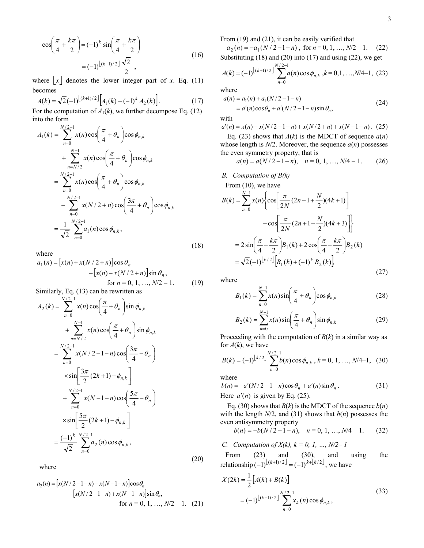$$
\cos\left(\frac{\pi}{4} + \frac{k\pi}{2}\right) = (-1)^k \sin\left(\frac{\pi}{4} + \frac{k\pi}{2}\right)
$$

$$
= (-1)^{\lfloor (k+1)/2 \rfloor} \frac{\sqrt{2}}{2},
$$
(16)

where  $\lfloor x \rfloor$  denotes the lower integer part of *x*. Eq. (11) becomes

$$
A(k) = \sqrt{2}(-1)^{\lfloor (k+1)/2 \rfloor} \Big[ A_1(k) - (-1)^k A_2(k) \Big].
$$
 (17)

For the computation of  $A_1(k)$ , we further decompose Eq. (12) into the form

$$
A_1(k) = \sum_{n=0}^{N/2-1} x(n) \cos\left(\frac{\pi}{4} + \theta_n\right) \cos\phi_{n,k} + \sum_{n=N/2}^{N-1} x(n) \cos\left(\frac{\pi}{4} + \theta_n\right) \cos\phi_{n,k} = \sum_{n=0}^{N/2-1} x(n) \cos\left(\frac{\pi}{4} + \theta_n\right) \cos\phi_{n,k} - \sum_{n=0}^{N/2-1} x(N/2 + n) \cos\left(\frac{3\pi}{4} + \theta_n\right) \cos\phi_{n,k} = \frac{1}{\sqrt{2}} \sum_{n=0}^{N/2-1} a_1(n) \cos\phi_{n,k},
$$
(18)

where

$$
a_1(n) = [x(n) + x(N/2 + n)]\cos \theta_n
$$
  
-[x(n) - x(N/2 + n)]\sin \theta\_n,  
for n = 0, 1, ..., N/2 - 1. (19)

Similarly, Eq. (13) can be rewritten as

$$
A_2(k) = \sum_{n=0}^{N/2-1} x(n) \cos\left(\frac{\pi}{4} + \theta_n\right) \sin \phi_{n,k}
$$
  
+ 
$$
\sum_{n=N/2}^{N-1} x(n) \cos\left(\frac{\pi}{4} + \theta_n\right) \sin \phi_{n,k}
$$
  
= 
$$
\sum_{n=0}^{N/2-1} x(N/2 - 1 - n) \cos\left(\frac{3\pi}{4} - \theta_n\right)
$$
  

$$
\times \sin\left[\frac{3\pi}{2} (2k+1) - \phi_{n,k}\right]
$$
  
+ 
$$
\sum_{n=0}^{N/2-1} x(N-1-n) \cos\left(\frac{5\pi}{4} - \theta_n\right)
$$
  

$$
\times \sin\left[\frac{5\pi}{2} (2k+1) - \phi_{n,k}\right]
$$
  
= 
$$
\frac{(-1)^k}{\sqrt{2}} \sum_{n=0}^{N/2-1} a_2(n) \cos \phi_{n,k},
$$
 (20)

where

$$
a_2(n) = [x(N/2 - 1 - n) - x(N - 1 - n)]\cos\theta_n
$$
  
 
$$
- [x(N/2 - 1 - n) + x(N - 1 - n)]\sin\theta_n,
$$
  
for  $n = 0, 1, ..., N/2 - 1$ . (21)

From (19) and (21), it can be easily verified that

 $a_2(n) = -a_1(N/2 - 1 - n)$ , for  $n = 0, 1, ..., N/2 - 1$ . (22) Substituting  $(18)$  and  $(20)$  into  $(17)$  and using  $(22)$ , we get

$$
A(k) = (-1)^{\lfloor (k+1)/2 \rfloor} \sum_{n=0}^{N/2-1} a(n) \cos \phi_{n,k} \, k = 0, 1, \dots, N/4-1, \tag{23}
$$

where

$$
a(n) = a_1(n) + a_1(N/2 - 1 - n)
$$
  
=  $a'(n) \cos \theta_n + a'(N/2 - 1 - n) \sin \theta_n$ , (24)

with

$$
a'(n) = x(n) - x(N/2 - 1 - n) + x(N/2 + n) + x(N - 1 - n). (25)
$$

Eq. (23) shows that  $A(k)$  is the MDCT of sequence  $a(n)$ whose length is  $N/2$ . Moreover, the sequence  $a(n)$  possesses the even symmetry property, that is

$$
a(n) = a(N/2 - 1 - n), \quad n = 0, 1, ..., N/4 - 1.
$$
 (26)

*B. Computation of B(k)* 

From (10), we have  
\n
$$
B(k) = \sum_{n=0}^{N-1} x(n) \left\{ \cos \left[ \frac{\pi}{2N} (2n+1+\frac{N}{2}) (4k+1) \right] - \cos \left[ \frac{\pi}{2N} (2n+1+\frac{N}{2}) (4k+3) \right] \right\}
$$
\n
$$
= 2 \sin \left( \frac{\pi}{4} + \frac{k\pi}{2} \right) B_1(k) + 2 \cos \left( \frac{\pi}{4} + \frac{k\pi}{2} \right) B_2(k)
$$
\n
$$
= \sqrt{2} (-1)^{\lfloor k/2 \rfloor} \left[ B_1(k) + (-1)^k B_2(k) \right]
$$
\n(27)

where

$$
B_1(k) = \sum_{n=0}^{N-1} x(n) \sin\left(\frac{\pi}{4} + \theta_n\right) \cos \phi_{n,k}
$$
 (28)

$$
B_2(k) = \sum_{n=0}^{N-1} x(n) \sin\left(\frac{\pi}{4} + \theta_n\right) \sin \phi_{n,k}
$$
 (29)

Proceeding with the computation of  $B(k)$  in a similar way as for  $A(k)$ , we have

$$
B(k) = (-1)^{\lfloor k/2 \rfloor} \sum_{n=0}^{N/2-1} b(n) \cos \phi_{n,k}, k = 0, 1, ..., N/4-1, (30)
$$

where

$$
b(n) = -a'(N/2 - 1 - n)\cos\theta_n + a'(n)\sin\theta_n.
$$
 (31)  
Here  $a'(n)$  is given by Eq. (35)

Here  $a'(n)$  is given by Eq. (25).

Eq. (30) shows that  $B(k)$  is the MDCT of the sequence  $b(n)$ with the length  $N/2$ , and (31) shows that  $b(n)$  possesses the even antisymmetry property

$$
b(n) = -b(N/2 - 1 - n), \quad n = 0, 1, ..., N/4 - 1. \tag{32}
$$

*C. Computation of*  $X(k)$ *,*  $k = 0, 1, ..., N/2-1$ 

From (23) and (30), and using the relationship  $(-1)^{\lfloor (k+1)/2 \rfloor}$  =  $(-1)^{k+\lfloor k/2 \rfloor}$ , we have

$$
X(2k) = \frac{1}{2} [A(k) + B(k)]
$$
  
=  $(-1)^{\lfloor (k+1)/2 \rfloor} \sum_{n=0}^{N/2-1} x_k(n) \cos \phi_{n,k},$  (33)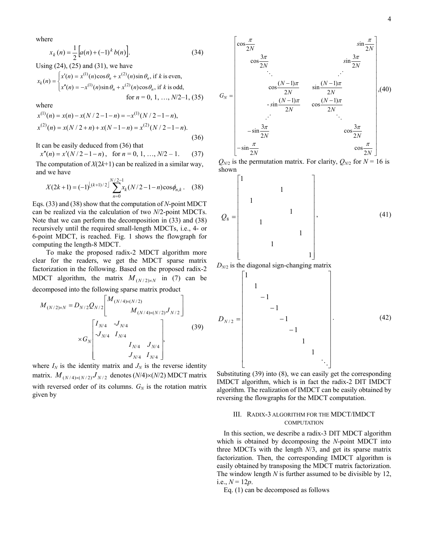where

$$
x_k(n) = \frac{1}{2} \left[ a(n) + (-1)^k b(n) \right].
$$
 (34)

Using (24), (25) and (31), we have

$$
x_k(n) = \begin{cases} x'(n) = x^{(1)}(n)\cos\theta_n + x^{(2)}(n)\sin\theta_n, \text{ if } k \text{ is even,} \\ x''(n) = -x^{(1)}(n)\sin\theta_n + x^{(2)}(n)\cos\theta_n, \text{ if } k \text{ is odd,} \\ \text{for } n = 0, 1, ..., N/2-1, (35) \end{cases}
$$

where

$$
x^{(1)}(n) = x(n) - x(N/2 - 1 - n) = -x^{(1)}(N/2 - 1 - n),
$$
  
\n
$$
x^{(2)}(n) = x(N/2 + n) + x(N - 1 - n) = x^{(2)}(N/2 - 1 - n).
$$
\n(36)

It can be easily deduced from (36) that

 $x''(n) = x'(N/2 - 1 - n)$ , for  $n = 0, 1, ..., N/2 - 1$ . (37)

The computation of  $X(2k+1)$  can be realized in a similar way, and we have

$$
X(2k+1) = (-1)^{\lfloor (k+1)/2 \rfloor} \sum_{n=0}^{N/2-1} x_k (N/2 - 1 - n) \cos \phi_{n,k}.
$$
 (38)

Eqs. (33) and (38) show that the computation of *N*-point MDCT can be realized via the calculation of two *N*/2-point MDCTs. Note that we can perform the decomposition in (33) and (38) recursively until the required small-length MDCTs, i.e., 4- or 6-point MDCT, is reached. Fig. 1 shows the flowgraph for computing the length-8 MDCT.

To make the proposed radix-2 MDCT algorithm more clear for the readers, we get the MDCT sparse matrix factorization in the following. Based on the proposed radix-2 MDCT algorithm, the matrix  $M_{(N/2) \times N}$  in (7) can be decomposed into the following sparse matrix product

$$
M_{(N/2)\times N} = D_{N/2} Q_{N/2} \begin{bmatrix} M_{(N/4)\times (N/2)} & & \\ & M_{(N/4)\times (N/2)} J_{N/2} & \\ & & J_{N/4} & \\ & & J_{N/4} & J_{N/4} \\ & & & J_{N/4} & J_{N/4} \\ & & & J_{N/4} & I_{N/4} \end{bmatrix}
$$
 (39)

where  $I_N$  is the identity matrix and  $J_N$  is the reverse identity matrix.  $M_{(N/4)\times(N/2)}J_{N/2}$  denotes (*N*/4)×(*N*/2) MDCT matrix with reversed order of its columns.  $G_N$  is the rotation matrix given by



 $Q_{N/2}$  is the permutation matrix. For clarity,  $Q_{N/2}$  for  $N = 16$  is shown



Substituting (39) into (8), we can easily get the corresponding IMDCT algorithm, which is in fact the radix-2 DIT IMDCT algorithm. The realization of IMDCT can be easily obtained by reversing the flowgraphs for the MDCT computation.

**Of the Community** 

 $\overline{\phantom{a}}$ 

⎦

#### III. RADIX-3 ALGORITHM FOR THE MDCT/IMDCT **COMPUTATION**

In this section, we describe a radix-3 DIT MDCT algorithm which is obtained by decomposing the *N*-point MDCT into three MDCTs with the length *N*/3, and get its sparse matrix factorization. Then, the corresponding IMDCT algorithm is easily obtained by transposing the MDCT matrix factorization. The window length *N* is further assumed to be divisible by 12, i.e.,  $N = 12p$ .

Eq. (1) can be decomposed as follows

 $\mathsf{I}$ 

⎣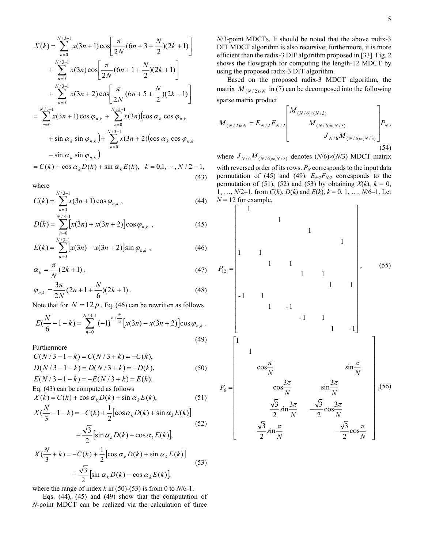$$
X(k) = \sum_{n=0}^{N/3-1} x(3n+1)\cos\left[\frac{\pi}{2N}(6n+3+\frac{N}{2})(2k+1)\right] + \sum_{n=0}^{N/3-1} x(3n)\cos\left[\frac{\pi}{2N}(6n+1+\frac{N}{2})(2k+1)\right] + \sum_{n=0}^{N/3-1} x(3n+2)\cos\left[\frac{\pi}{2N}(6n+5+\frac{N}{2})(2k+1)\right] = \sum_{n=0}^{N/3-1} x(3n+1)\cos\varphi_{n,k} + \sum_{n=0}^{N/3-1} x(3n)(\cos\alpha_k\cos\varphi_{n,k} + \sin\alpha_k\sin\varphi_{n,k}) + \sum_{n=0}^{N/3-1} x(3n+2)(\cos\alpha_k\cos\varphi_{n,k} - \sin\alpha_k\sin\varphi_{n,k}) = C(k) + \cos\alpha_k D(k) + \sin\alpha_k E(k), \quad k = 0,1,\cdots,N/2-1,
$$

$$
\cdots,
$$

(43)

where

$$
C(k) = \sum_{n=0}^{N/3-1} x(3n+1)\cos\varphi_{n,k} , \qquad (44)
$$

$$
D(k) = \sum_{n=0}^{N/3-1} [x(3n) + x(3n+2)] \cos \varphi_{n,k} , \qquad (45)
$$

$$
E(k) = \sum_{n=0}^{N/3-1} [x(3n) - x(3n+2)] \sin \varphi_{n,k} , \qquad (46)
$$

$$
\alpha_k = \frac{\pi}{N} (2k+1) \,, \tag{47}
$$

$$
\varphi_{n,k} = \frac{3\pi}{2N} (2n + 1 + \frac{N}{6}) (2k + 1).
$$
 (48)

Note that for  $N = 12 p$ , Eq. (46) can be rewritten as follows

$$
E\left(\frac{N}{6}-1-k\right) = \sum_{n=0}^{N/3-1} (-1)^{n+\frac{N}{12}} \left[ x(3n) - x(3n+2) \right] \cos \varphi_{n,k} \tag{49}
$$

Furthermore

$$
C(N/3 - 1 - k) = C(N/3 + k) = -C(k),
$$
  
\n
$$
D(N/3 - 1 - k) = D(N/3 + k) = -D(k),
$$
  
\n
$$
E(N/3 - 1 - k) = -E(N/3 + k) = E(k).
$$
\n(50)

Eq. (43) can be computed as follows

$$
X(k) = C(k) + \cos \alpha_k D(k) + \sin \alpha_k E(k),
$$
\n(51)

$$
X(\frac{N}{3} - 1 - k) = -C(k) + \frac{1}{2} \left[ \cos \alpha_k D(k) + \sin \alpha_k E(k) \right]
$$
  

$$
- \frac{\sqrt{3}}{2} \left[ \sin \alpha_k D(k) - \cos \alpha_k E(k) \right]
$$
  
(52)

$$
X\left(\frac{N}{3} + k\right) = -C(k) + \frac{1}{2} \left[ \cos \alpha_k D(k) + \sin \alpha_k E(k) \right]
$$
  
+ 
$$
\frac{\sqrt{3}}{2} \left[ \sin \alpha_k D(k) - \cos \alpha_k E(k) \right]
$$
 (53)

where the range of index  $k$  in (50)-(53) is from 0 to  $N/6-1$ .

Eqs. (44), (45) and (49) show that the computation of *N*-point MDCT can be realized via the calculation of three

*N*/3-point MDCTs. It should be noted that the above radix-3 DIT MDCT algorithm is also recursive; furthermore, it is more efficient than the radix-3 DIF algorithm proposed in [33]. Fig. 2 shows the flowgraph for computing the length-12 MDCT by using the proposed radix-3 DIT algorithm.

Based on the proposed radix-3 MDCT algorithm, the matrix  $M_{(N/2)\times N}$  in (7) can be decomposed into the following sparse matrix product

$$
M_{(N/2)\times N} = E_{N/2} F_{N/2} \begin{bmatrix} M_{(N/6)\times (N/3)} & & \\ & M_{(N/6)\times (N/3)} & \\ & & J_{N/6} M_{(N/6)\times (N/3)} \end{bmatrix} P_N,
$$
\n(54)

where  $J_{N/6}M_{(N/6)\times(N/3)}$  denotes (*N*/6) $\times$ (*N*/3) MDCT matrix with reversed order of its rows.  $P_N$  corresponds to the input data permutation of (45) and (49).  $E_{N2}F_{N2}$  corresponds to the permutation of (51), (52) and (53) by obtaining  $X(k)$ ,  $k = 0$ , 1, …, *N*/2–1, from *C*(*k*), *D*(*k*) and *E*(*k*), *k* = 0, 1, …, *N*/6–1. Let

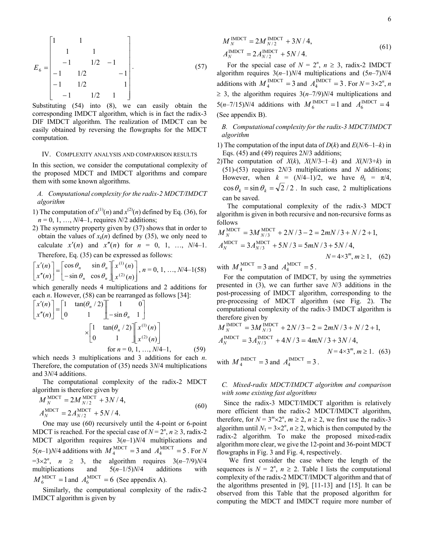$$
E_6 = \begin{bmatrix} 1 & 1 & 1 \\ 1 & 1 & 1 \\ -1 & 1/2 & -1 \\ -1 & 1/2 & -1 \\ -1 & 1/2 & 1 \end{bmatrix} .
$$
 (57)

Substituting (54) into (8), we can easily obtain the corresponding IMDCT algorithm, which is in fact the radix-3 DIF IMDCT algorithm. The realization of IMDCT can be easily obtained by reversing the flowgraphs for the MDCT computation.

#### IV. COMPLEXITY ANALYSIS AND COMPARISON RESULTS

In this section, we consider the computational complexity of the proposed MDCT and IMDCT algorithms and compare them with some known algorithms.

#### *A. Computational complexity for the radix-2 MDCT/IMDCT algorithm*

- 1) The computation of  $x^{(1)}(n)$  and  $x^{(2)}(n)$  defined by Eq. (36), for  $n = 0, 1, ..., N/4-1$ , requires *N*/2 additions;
- 2) The symmetry property given by (37) shows that in order to obtain the values of  $x_k(n)$  defined by (35), we only need to calculate  $x'(n)$  and  $x''(n)$  for  $n = 0, 1, ..., N/4-1$ . Therefore, Eq. (35) can be expressed as follows:

$$
\begin{bmatrix} x'(n) \\ x''(n) \end{bmatrix} = \begin{bmatrix} \cos \theta_n & \sin \theta_n \\ -\sin \theta_n & \cos \theta_n \end{bmatrix} \begin{bmatrix} x^{(1)}(n) \\ x^{(2)}(n) \end{bmatrix}, n = 0, 1, \dots, N/4 - 1(58)
$$

which generally needs 4 multiplications and 2 additions for each *n*. However, (58) can be rearranged as follows [34]:

$$
\begin{bmatrix} x'(n) \\ x''(n) \end{bmatrix} = \begin{bmatrix} 1 & \tan(\theta_n/2) \\ 0 & 1 \end{bmatrix} \begin{bmatrix} 1 & 0 \\ -\sin \theta_n & 1 \end{bmatrix}
$$

$$
\times \begin{bmatrix} 1 & \tan(\theta_n/2) \\ 0 & 1 \end{bmatrix} \begin{bmatrix} x^{(1)}(n) \\ x^{(2)}(n) \end{bmatrix}
$$
for  $n = 0, 1, ..., N/4-1$ , (59)

which needs 3 multiplications and 3 additions for each *n*. Therefore, the computation of (35) needs 3*N*/4 multiplications and 3*N*/4 additions.

The computational complexity of the radix-2 MDCT algorithm is therefore given by

$$
M_N^{\text{MDCT}} = 2M_{N/2}^{\text{MDCT}} + 3N/4,
$$
  
\n
$$
A_N^{\text{MDCT}} = 2A_{N/2}^{\text{MDCT}} + 5N/4.
$$
\n(60)

One may use (60) recursively until the 4-point or 6-point MDCT is reached. For the special case of  $N = 2^n$ ,  $n \ge 3$ , radix-2 MDCT algorithm requires 3(*n*–1)*N*/4 multiplications and  $5(n-1)N/4$  additions with  $M_4^{\text{MDCT}} = 3$  and  $A_4^{\text{MDCT}} = 5$ . For N  $=3\times2^{n}$ ,  $n \geq 3$ , the algorithm requires  $3(n-7/9)N/4$ multiplications and 5(*n*–1/5)*N*/4 additions with  $M_6^{\text{MDCT}} = 1$  and  $A_6^{\text{MDCT}} = 6$  (See appendix A).

Similarly, the computational complexity of the radix-2 IMDCT algorithm is given by

$$
M_N^{\text{IMDCT}} = 2M_{N/2}^{\text{IMDCT}} + 3N/4,
$$
  
\n
$$
A_N^{\text{IMDCT}} = 2A_{N/2}^{\text{IMDCT}} + 5N/4.
$$
\n(61)

For the special case of  $N = 2^n$ ,  $n \ge 3$ , radix-2 IMDCT algorithm requires 3(*n*–1)*N*/4 multiplications and (5*n*–7)*N*/4 additions with  $M_4^{\text{IMDCT}} = 3$  and  $A_4^{\text{IMDCT}} = 3$ . For  $N = 3 \times 2^n$ , *n*  $\geq$  3, the algorithm requires  $3(n-7/9)N/4$  multiplications and  $5(n-7/15)N/4$  additions with  $M_6^{\text{IMDCT}} = 1$  and  $A_6^{\text{IMDCT}} = 4$ (See appendix B).

*B. Computational complexity for the radix-3 MDCT/IMDCT algorithm* 

- 1) The computation of the input data of *D*(*k*) and *E*(*N/*6–1–*k*) in Eqs. (45) and (49) requires 2*N*/3 additions;
- 2)The computation of  $X(k)$ ,  $X(N/3-1-k)$  and  $X(N/3+k)$  in (51)-(53) requires 2*N*/3 multiplications and *N* additions; However, when  $k = (N/4-1)/2$ , we have  $\theta_k = \pi/4$ ,  $\cos \theta_k = \sin \theta_k = \sqrt{2}/2$ . In such case, 2 multiplications can be saved.

The computational complexity of the radix-3 MDCT algorithm is given in both recursive and non-recursive forms as follows

$$
M_N^{\text{MDCT}} = 3M_{N/3}^{\text{MDCT}} + 2N/3 - 2 = 2mN/3 + N/2 + 1,
$$
  
\n
$$
A_N^{\text{MDCT}} = 3A_{N/3}^{\text{MDCT}} + 5N/3 = 5mN/3 + 5N/4,
$$
  
\n
$$
N = 4 \times 3^m, m \ge 1, \quad (62)
$$

with  $M_4^{\text{MDCI}} = 3$  and  $A_4^{\text{MDCI}} = 5$ .

For the computation of IMDCT, by using the symmetries presented in (3), we can further save *N*/3 additions in the post-processing of IMDCT algorithm, corresponding to the pre-processing of MDCT algorithm (see Fig. 2). The computational complexity of the radix-3 IMDCT algorithm is therefore given by

$$
M_N^{\text{IMDCT}} = 3M_{N/3}^{\text{IMDCT}} + 2N/3 - 2 = 2mN/3 + N/2 + 1,
$$
  
\n
$$
A_N^{\text{IMDCT}} = 3A_{N/3}^{\text{IMDCT}} + 4N/3 = 4mN/3 + 3N/4,
$$
  
\n
$$
N = 4 \times 3^m, m \ge 1. \quad (63)
$$

with  $M_4^{\text{IMDCT}} = 3$  and  $A_4^{\text{IMDCT}} = 3$ .

#### *C. Mixed-radix MDCT/IMDCT algorithm and comparison with some existing fast algorithms*

 Since the radix-3 MDCT/IMDCT algorithm is relatively more efficient than the radix-2 MDCT/IMDCT algorithm, therefore, for  $N = 3^m \times 2^n$ ,  $m \ge 2$ ,  $n \ge 2$ , we first use the radix-3 algorithm until  $N_1 = 3 \times 2^n$ ,  $n \ge 2$ , which is then computed by the radix-2 algorithm. To make the proposed mixed-radix algorithm more clear, we give the 12-point and 36-point MDCT flowgraphs in Fig. 3 and Fig. 4, respectively.

 We first consider the case where the length of the sequences is  $N = 2^n$ ,  $n \ge 2$ . Table I lists the computational complexity of the radix-2 MDCT/IMDCT algorithm and that of the algorithms presented in [9], [11-13] and [15]. It can be observed from this Table that the proposed algorithm for computing the MDCT and IMDCT require more number of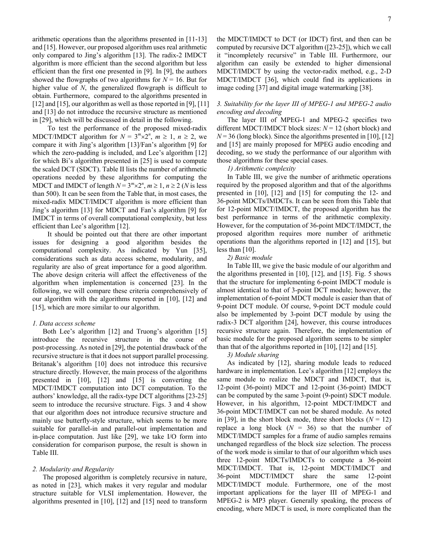arithmetic operations than the algorithms presented in [11-13] and [15]. However, our proposed algorithm uses real arithmetic only compared to Jing's algorithm [13]. The radix-2 IMDCT algorithm is more efficient than the second algorithm but less efficient than the first one presented in [9]. In [9], the authors showed the flowgraphs of two algorithms for  $N = 16$ . But for higher value of *N*, the generalized flowgraph is difficult to obtain. Furthermore, compared to the algorithms presented in [12] and [15], our algorithm as well as those reported in [9], [11] and [13] do not introduce the recursive structure as mentioned in [29], which will be discussed in detail in the following.

To test the performance of the proposed mixed-radix MDCT/IMDCT algorithm for  $N = 3^m \times 2^n$ ,  $m \ge 1$ ,  $n \ge 2$ , we compare it with Jing's algorithm [13]/Fan's algorithm [9] for which the zero-padding is included, and Lee's algorithm [12] for which Bi's algorithm presented in [25] is used to compute the scaled DCT (SDCT). Table II lists the number of arithmetic operations needed by these algorithms for computing the MDCT and IMDCT of length  $N = 3^m \times 2^n$ ,  $m \ge 1$ ,  $n \ge 2$  (*N* is less than 500). It can be seen from the Table that, in most cases, the mixed-radix MDCT/IMDCT algorithm is more efficient than Jing's algorithm [13] for MDCT and Fan's algorithm [9] for IMDCT in terms of overall computational complexity, but less efficient than Lee's algorithm [12].

It should be pointed out that there are other important issues for designing a good algorithm besides the computational complexity. As indicated by Yun [35], considerations such as data access scheme, modularity, and regularity are also of great importance for a good algorithm. The above design criteria will affect the effectiveness of the algorithm when implementation is concerned [23]. In the following, we will compare these criteria comprehensively of our algorithm with the algorithms reported in [10], [12] and [15], which are more similar to our algorithm.

#### *1. Data access scheme*

Both Lee's algorithm [12] and Truong's algorithm [15] introduce the recursive structure in the course of post-processing. As noted in [29], the potential drawback of the recursive structure is that it does not support parallel processing. Britanak's algorithm [10] does not introduce this recursive structure directly. However, the main process of the algorithms presented in [10], [12] and [15] is converting the MDCT/IMDCT computation into DCT computation. To the authors' knowledge, all the radix-type DCT algorithms [23-25] seem to introduce the recursive structure. Figs. 3 and 4 show that our algorithm does not introduce recursive structure and mainly use butterfly-style structure, which seems to be more suitable for parallel-in and parallel-out implementation and in-place computation. Just like [29], we take I/O form into consideration for comparison purpose, the result is shown in Table III.

#### *2. Modularity and Regularity*

The proposed algorithm is completely recursive in nature, as noted in [23], which makes it very regular and modular structure suitable for VLSI implementation. However, the algorithms presented in [10], [12] and [15] need to transform the MDCT/IMDCT to DCT (or IDCT) first, and then can be computed by recursive DCT algorithm ([23-25]), which we call it "incompletely recursive" in Table III. Furthermore, our algorithm can easily be extended to higher dimensional MDCT/IMDCT by using the vector-radix method, e.g., 2-D MDCT/IMDCT [36], which could find its applications in image coding [37] and digital image watermarking [38].

#### *3. Suitability for the layer III of MPEG-1 and MPEG-2 audio encoding and decoding*

The layer III of MPEG-1 and MPEG-2 specifies two different MDCT/IMDCT block sizes: *N* = 12 (short block) and  $N = 36$  (long block). Since the algorithms presented in [10], [12] and [15] are mainly proposed for MPEG audio encoding and decoding, so we study the performance of our algorithm with those algorithms for these special cases.

*1) Arithmetic complexity* 

In Table III, we give the number of arithmetic operations required by the proposed algorithm and that of the algorithms presented in [10], [12] and [15] for computing the 12- and 36-point MDCTs/IMDCTs. It can be seen from this Table that for 12-point MDCT/IMDCT, the proposed algorithm has the best performance in terms of the arithmetic complexity. However, for the computation of 36-point MDCT/IMDCT, the proposed algorithm requires more number of arithmetic operations than the algorithms reported in [12] and [15], but less than [10].

#### *2) Basic module*

In Table III, we give the basic module of our algorithm and the algorithms presented in [10], [12], and [15]. Fig. 5 shows that the structure for implementing 6-point IMDCT module is almost identical to that of 3-point DCT module; however, the implementation of 6-point MDCT module is easier than that of 9-point DCT module. Of course, 9-point DCT module could also be implemented by 3-point DCT module by using the radix-3 DCT algorithm [24], however, this course introduces recursive structure again. Therefore, the implementation of basic module for the proposed algorithm seems to be simpler than that of the algorithms reported in [10], [12] and [15].

#### *3) Module sharing*

As indicated by [12], sharing module leads to reduced hardware in implementation. Lee's algorithm [12] employs the same module to realize the MDCT and IMDCT, that is, 12-point (36-point) MDCT and 12-point (36-point) IMDCT can be computed by the same 3-point (9-point) SDCT module. However, in his algorithm, 12-point MDCT/IMDCT and 36-point MDCT/IMDCT can not be shared module. As noted in [39], in the short block mode, three short blocks  $(N = 12)$ replace a long block  $(N = 36)$  so that the number of MDCT/IMDCT samples for a frame of audio samples remains unchanged regardless of the block size selection. The process of the work mode is similar to that of our algorithm which uses three 12-point MDCTs/IMDCTs to compute a 36-point MDCT/IMDCT. That is, 12-point MDCT/IMDCT and 36-point MDCT/IMDCT share the same 12-point MDCT/IMDCT module. Furthermore, one of the most important applications for the layer III of MPEG-1 and MPEG-2 is MP3 player. Generally speaking, the process of encoding, where MDCT is used, is more complicated than the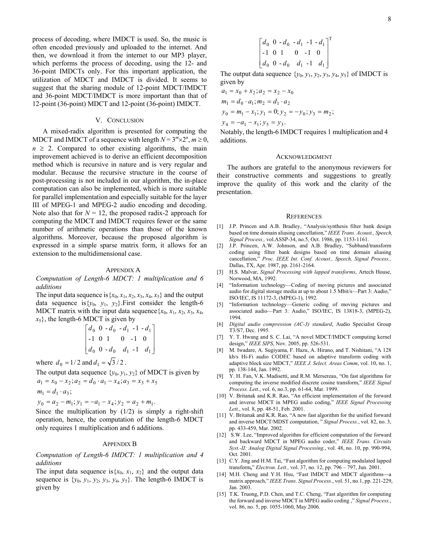process of decoding, where IMDCT is used. So, the music is often encoded previously and uploaded to the internet. And then, we download it from the internet to our MP3 player, which performs the process of decoding, using the 12- and 36-point IMDCTs only. For this important application, the utilization of MDCT and IMDCT is divided. It seems to suggest that the sharing module of 12-point MDCT/IMDCT and 36-point MDCT/IMDCT is more important than that of 12-point (36-point) MDCT and 12-point (36-point) IMDCT.

#### V. CONCLUSION

A mixed-radix algorithm is presented for computing the MDCT and IMDCT of a sequence with length  $N = 3^m \times 2^n$ ,  $m \ge 0$ ,  $n \geq 2$ . Compared to other existing algorithms, the main improvement achieved is to derive an efficient decomposition method which is recursive in nature and is very regular and modular. Because the recursive structure in the course of post-processing is not included in our algorithm, the in-place computation can also be implemented, which is more suitable for parallel implementation and especially suitable for the layer III of MPEG-1 and MPEG-2 audio encoding and decoding. Note also that for  $N = 12$ , the proposed radix-2 approach for computing the MDCT and IMDCT requires fewer or the same number of arithmetic operations than those of the known algorithms. Moreover, because the proposed algorithm is expressed in a simple sparse matrix form, it allows for an extension to the multidimensional case.

#### APPENDIX A

*Computation of Length-6 MDCT: 1 multiplication and 6 additions* 

The input data sequence is  $\{x_0, x_1, x_2, x_3, x_4, x_5\}$  and the output data sequence is  $\{y_0, y_1, y_2\}$ . First consider the length-6 MDCT matrix with the input data sequence  $\{x_0, x_1, x_2, x_3, x_4,$  $x_5$ , the length-6 MDCT is given by

$$
\begin{bmatrix} d_0 & 0 & -d_0 & -d_1 & -1 & -d_1 \\ -1 & 0 & 1 & 0 & -1 & 0 \\ d_0 & 0 & -d_0 & d_1 & -1 & d_1 \end{bmatrix}
$$

where  $d_0 = 1/2$  and  $d_1 = \sqrt{3}/2$ .

The output data sequence  $\{y_0, y_1, y_2\}$  of MDCT is given by  $y_0 = a_2 - m_1$ ;  $y_1 = -a_1 - x_4$ ;  $y_2 = a_2 + m_1$ .  $m_1 = d_1 \cdot a_3;$  $a_1 = x_0 - x_2; a_2 = d_0 \cdot a_1 - x_4; a_3 = x_3 + x_5$ 

Since the multiplication by  $(1/2)$  is simply a right-shift operation, hence, the computation of the length-6 MDCT only requires 1 multiplication and 6 additions.

#### APPENDIX B

*Computation of Length-6 IMDCT: 1 multiplication and 4 additions* 

The input data sequence is  $\{x_0, x_1, x_2\}$  and the output data sequence is  $\{y_0, y_1, y_2, y_3, y_4, y_5\}$ . The length-6 IMDCT is given by

$$
\begin{bmatrix} d_0 & 0 & -d_0 & -d_1 & -1 & -d_1 \\ -1 & 0 & 1 & 0 & -1 & 0 \\ d_0 & 0 & -d_0 & d_1 & -1 & d_1 \end{bmatrix}^T
$$

The output data sequence  $\{y_0, y_1, y_2, y_3, y_4, y_5\}$  of IMDCT is given by

$$
a_1 = x_0 + x_2; a_2 = x_2 - x_0
$$
  
\n
$$
m_1 = d_0 \cdot a_1; m_2 = d_1 \cdot a_2
$$
  
\n
$$
y_0 = m_1 - x_1; y_1 = 0; y_2 = -y_0; y_3 = m_2;
$$
  
\n
$$
y_4 = -a_1 - x_1; y_5 = y_3.
$$
  
\nMathly the length 6 DDOT requires 1.

Notably, the length-6 IMDCT requires 1 multiplication and 4 additions.

#### ACKNOWLEDGMENT

The authors are grateful to the anonymous reviewers for their constructive comments and suggestions to greatly improve the quality of this work and the clarity of the presentation.

#### **REFERENCES**

- [1] J.P. Princen and A.B. Bradley, "Analysis/synthesis filter bank design based on time domain aliasing cancellation," *IEEE Trans. Acoust., Speech, Signal Process.,* vol.ASSP-34, no.5, Oct. 1986, pp. 1153-1161.
- [2] J.P. Princen, A.W. Johnson, and A.B. Bradley, "Subband/transform coding using filter bank designs based on time domain aliasing cancellation," *Proc. IEEE Int. Conf. Acoust., Speech, Signal Process.,* Dallas, TX, Apr. 1987, pp. 2161-2164.
- [3] H.S. Malvar, *Signal Processing with lapped transforms*, Artech House, Norwood, MA, 1992.
- [4] "Information technology—Coding of moving pictures and associated audio for digital storage media at up to about 1.5 Mbit/s—Part 3: Audio," ISO/IEC, IS 11172-3, (MPEG-1), 1992.
- [5] "Information technology—Generic coding of moving pictures and associated audio—Part 3: Audio," ISO/IEC, IS 13818-3, (MPEG-2), 1994.
- [6] *Digital audio compression (AC-3) standard*, Audio Specialist Group T3/S7, Dec. 1995.
- [7] Y. T. Hwang and S. C. Lai, "A novel MDCT/IMDCT computing kernel design," *IEEE SIPS*, Nov. 2005, pp. 526-531.
- [8] M. Iwadare, A. Sugiyama, F. Hazu, A. Hirano, and T. Nishitani, "A 128 kb/s Hi-Fi audio CODEC based on adaptive transform coding with adaptive block size MDCT," *IEEE J. Select. Areas Comm*, vol. 10, no. 1, pp. 138-144, Jan. 1992.
- [9] Y. H. Fan, V.K. Madisetti, and R.M. Mersereau, "On fast algorithms for computing the inverse modified discrete cosine transform," *IEEE Signal Process. Lett.*, vol. 6, no.3, pp. 61-64, Mar. 1999.
- [10] V. Britanak and K.R. Rao, "An efficient implementation of the forward and inverse MDCT in MPEG audio coding," *IEEE Signal Processing Lett.*, vol. 8, pp. 48-51, Feb. 2001.
- [11] V. Britanak and K.R. Rao, "A new fast algorithm for the unified forward and inverse MDCT/MDST computation, " *Signal Process.*, vol. 82, no. 3, pp. 433-459, Mar. 2002.
- [12] S.W. Lee, "Improved algorithm for efficient computation of the forward and backward MDCT in MPEG audio coder," *IEEE Trans. Circuits Syst.-II: Analog Digital Signal Processing.*, vol. 48, no. 10, pp. 990-994, Oct. 2001.
- [13] C.Y. Jing and H.M. Tai, "Fast algorithm for computing modulated lapped transform**,**" *[Electron. Lett.](http://ieeexplore.ieee.org/xpl/RecentIssue.jsp?punumber=2220),* vol. 37, no. 12, pp. 796 – 797, Jun. 2001.
- [14] M.H. Cheng and Y.H. Hsu, "Fast IMDCT and MDCT algorithms-a matrix approach," *IEEE Trans. Signal Process.*, vol. 51, no.1, pp. 221-229, Jan. 2003.
- [15] T.K. Truong, P.D. Chen, and T.C. Cheng, "Fast algorithm for computing the forward and inverse MDCT in MPEG audio coding ," *Signal Process.*, vol. 86, no. 5, pp. 1055-1060, May 2006.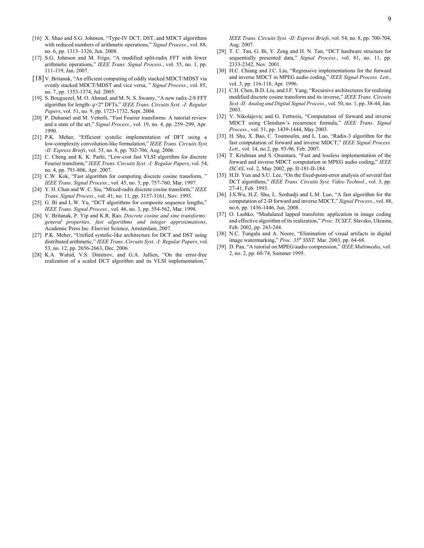- [16] X. Shao and S.G. Johnson, "Type-IV DCT, DST, and MDCT algorithms [with reduced numbers of arithmetic operations,](http://www.sciencedirect.com/science?_ob=ArticleURL&_udi=B6V18-4RBYFTY-1&_user=2324995&_coverDate=06%2F30%2F2008&_alid=733772500&_rdoc=1&_fmt=high&_orig=search&_cdi=5668&_sort=d&_docanchor=&view=c&_ct=1&_acct=C000056919&_version=1&_urlVersion=0&_userid=2324995&md5=1d286d82bb2240e2df3a51cc000a4e69)" *Signal Process.*, vol. 88, no. 6, pp. 1313–1326, Jun. 2008.
- [17] S.G. Johnson and M. Frigo, "A modified split-radix FFT with fewer arithmetic operations," *IEEE Trans. Signal Process.*, vol. 55, no. 1, pp. 111-119, Jan. 2007.
- [18] V. Britanak, "An efficient computing of oddly stacked MDCT/MDST via evenly stacked MDCT/MDST and vice versa, " *Signal Process.*, vol. 85, no. 7, pp. 1353-1374, Jul. 2005.
- [19] S. Bouguezel, M. O. Ahmad, and M. N. S. Swamy, "A new radix-2/8 FFT algorithm for length- *q*×2*<sup>m</sup>* DFTs," *IEEE Trans. Circuits Syst. -I: Regular Papers*, vol. 51, no. 9, pp. 1723-1732, Sept. 2004.
- [20] P. Duhamel and M. Vetterli, "Fast Fourier transforms: A tutorial review and a state of the art," *Signal Process.*, vol. 19, no. 4, pp. 259–299, Apr. 1990.
- [21] P.K. Meher, "Efficient systolic implementation of DFT using a low-complexity convolution-like formulation," *IEEE Trans. Circuits Syst. -II: Express Briefs*, vol. 53, no. 8, pp. 702-706, Aug. 2006.
- [22] C. Cheng and K. K. Parhi, "Low-cost fast VLSI algorithm for discrete Fourier transform," *IEEE Trans. Circuits Syst. -I: Regular Papers*, vol. 54, no. 4, pp. 791-806, Apr. 2007.
- [23] C.W. Kok, "Fast algorithm for computing discrete cosine transform,  $\overline{ }$ *IEEE Trans. Signal Process.*, vol. 45, no. 3, pp. 757-760, Mar. 1997.
- [24] Y. H. Chan and W. C. Siu, "Mixed-radix discrete cosine transform," *IEEE Trans. Signal Process.*, vol. 41, no. 11, pp. 3157-3161, Nov. 1993.
- [25] G. Bi and L.W. Yu, "DCT algorithms for composite sequence lengths," *IEEE Trans. Signal Process.*, vol. 46, no. 3, pp. 554-562, Mar. 1998.
- [26] V. Britanak, P. Yip and K.R. Rao, *Discrete cosine and sine transforms: general properties, fast algorithms and integer approximations*, Academic Press Inc. Elsevier Science, Amsterdam, 2007.
- [27] P.K. Meher, "Unified systolic-like architecture for DCT and DST using distributed arithmetic," *IEEE Trans. Circuits Syst. -I: Regular Papers*, vol. 53, no. 12, pp. 2656-2663, Dec. 2006.
- [28] K.A. Wahid, V.S. Dimitrov, and G.A. Jullien, "On the error-free realization of a scaled DCT algorithm and its VLSI implementation,"

*IEEE Trans. Circuits Syst. -II: Express Briefs*, vol. 54, no. 8, pp. 700-704, Aug. 2007.

- [29] T. C. Tan, G. Bi, Y. Zeng and H. N. Tan, "DCT hardware structure for sequentially presented data," *Signal Process.*, vol. 81, no. 11, pp. 2333-2342, Nov. 2001.
- [30] H.C. Chiang and J.C. Liu, "Regressive implementations for the forward and inverse MDCT in MPEG audio coding," *IEEE Signal Process. Lett.*, vol. 3, pp. 116-118, Apr. 1996.
- [31] C.H. Chen, B.D. Liu, and J.F. Yang, "Recursive architectures for realizing modified discrete cosine transform and its inverse," *IEEE Trans. Circuits Syst.-II: Analog and Digital Signal Process.*, vol. 50, no. 1, pp. 38-44, Jan. 2003.
- [32] V. Nikolajevic and G. Fettweis, "Computation of forward and inverse MDCT using Clenshaw's recurrence formula," *IEEE Trans. Signal Process.*, vol. 51, pp. 1439-1444, May 2003.
- [33] H. Shu, X. Bao, C. Toumoulin, and L. Luo, "Radix-3 algorithm for the fast computation of forward and inverse MDCT," *IEEE Signal Process. Lett*., vol. 14, no.2, pp. 93-96, Feb. 2007.
- [34] T. Krishnan and S. Oraintara, "Fast and lossless implementation of the forward and inverse MDCT computation in MPEG audio coding," *IEEE ISCAS*, vol. 2, May 2002, pp. II-181-II-184.
- [35] H.D. Yun and S.U. Lee, "On the fixed-point-error analysis of several fast DCT algorithms," *IEEE Trans. Circuits Syst. Video Technol.*, vol. 3, pp. 27-41, Feb. 1993.
- [36] J.S.Wu, H.Z. Shu, L. Senhadji and L.M. Luo, "A fast algorithm for the computation of 2-D forward and inverse MDCT," *Signal Process.*, vol. 88, no.6, pp. 1436-1446, Jun. 2008.
- [37] O. Lashko, "Modulated lapped transform: application in image coding and effective algorithm of its realization," *Proc. TCSET,* Slavsko, Ukraine, Feb. 2002, pp. 243-244.
- [38] N.C. Tungala and A. Noore, "Elimination of visual artifacts in digital image watermarking," *Proc. 35th SSST,* Mar. 2003, pp. 64-68.
- [39] D. Pan, "A tutorial on MPEG/audio compression," *IEEE Multimedia*, vol. 2, no. 2, pp. 60-74, Summer 1995.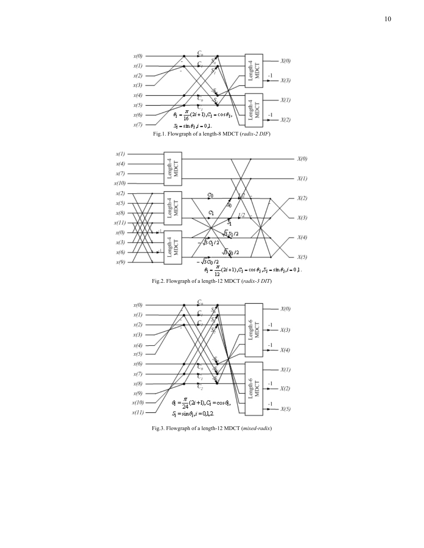





Fig.3. Flowgraph of a length-12 MDCT (*mixed-radix*)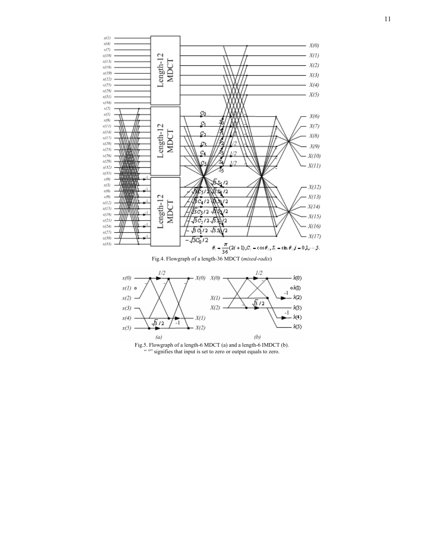



Fig.5. Flowgraph of a length-6 MDCT (a) and a length-6 IMDCT (b). "<sup>o"</sup> signifies that input is set to zero or output equals to zero.